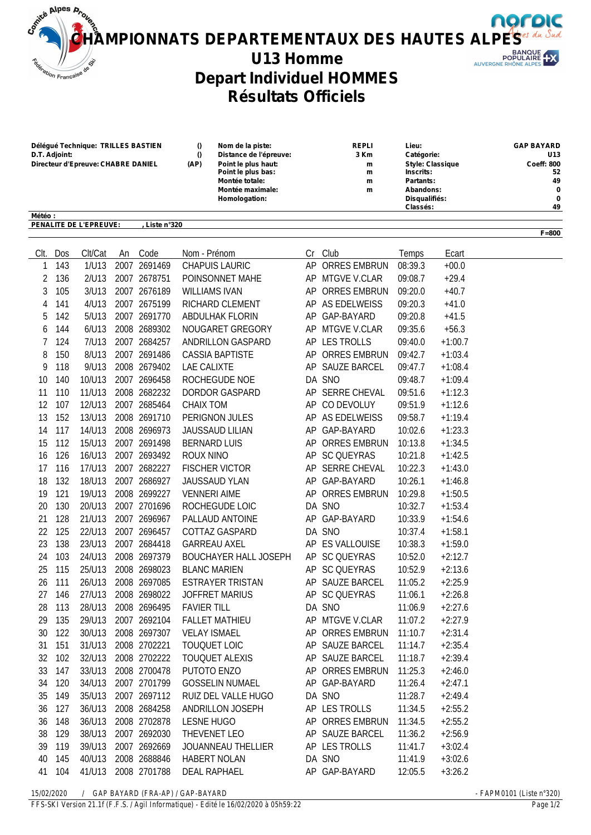| Contrie Alpes Arous<br>ngrold<br>CHAMPIONNATS DEPARTEMENTAUX DES HAUTES ALPES AND AND<br><b>BANQUE</b><br>U13 Homme<br>È<br>Terration Française de<br><b>AUVERGNE RHÔNE ALPES</b><br><b>Depart Individuel HOMMES</b><br><b>Résultats Officiels</b> |            |                        |      |                              |                              |                                                                                                                                                |                                          |                                          |                                                                                                                           |                        |                                                                                |
|----------------------------------------------------------------------------------------------------------------------------------------------------------------------------------------------------------------------------------------------------|------------|------------------------|------|------------------------------|------------------------------|------------------------------------------------------------------------------------------------------------------------------------------------|------------------------------------------|------------------------------------------|---------------------------------------------------------------------------------------------------------------------------|------------------------|--------------------------------------------------------------------------------|
| Délégué Technique: TRILLES BASTIEN<br>D.T. Adjoint:<br>Directeur d'Epreuve: CHABRE DANIEL                                                                                                                                                          |            |                        |      |                              | $\theta$<br>$\theta$<br>(AP) | Nom de la piste:<br>Distance de l'épreuve:<br>Point le plus haut:<br>Point le plus bas:<br>Montée totale:<br>Montée maximale:<br>Homologation: | <b>REPLI</b><br>3 Km<br>m<br>m<br>m<br>m |                                          | Lieu:<br>Catégorie:<br><b>Style: Classique</b><br>Inscrits:<br><b>Partants:</b><br>Abandons:<br>Disqualifiés:<br>Classés: |                        | <b>GAP BAYARD</b><br>U <sub>13</sub><br>Coeff: 800<br>52<br>49<br>0<br>0<br>49 |
| Météo:                                                                                                                                                                                                                                             |            | PENALITE DE L'EPREUVE: |      | Liste n°320                  |                              |                                                                                                                                                |                                          |                                          |                                                                                                                           |                        |                                                                                |
|                                                                                                                                                                                                                                                    |            |                        |      |                              |                              |                                                                                                                                                |                                          |                                          |                                                                                                                           |                        | $F = 800$                                                                      |
| CIt.                                                                                                                                                                                                                                               | Dos        | Clt/Cat                | An   | Code                         | Nom - Prénom                 |                                                                                                                                                | Cr                                       | Club                                     | Temps                                                                                                                     | Ecart                  |                                                                                |
| 1                                                                                                                                                                                                                                                  | 143        | 1/U13                  | 2007 | 2691469                      |                              | <b>CHAPUIS LAURIC</b>                                                                                                                          | AP                                       | <b>ORRES EMBRUN</b>                      | 08:39.3                                                                                                                   | $+00.0$                |                                                                                |
| 2                                                                                                                                                                                                                                                  | 136        | 2/U13                  | 2007 | 2678751                      |                              | POINSONNET MAHE                                                                                                                                | ΑP                                       | <b>MTGVE V.CLAR</b>                      | 09:08.7                                                                                                                   | $+29.4$                |                                                                                |
| 3                                                                                                                                                                                                                                                  | 105        | 3/U13                  |      | 2007 2676189                 |                              | <b>WILLIAMS IVAN</b>                                                                                                                           | ΑP                                       | <b>ORRES EMBRUN</b>                      | 09:20.0                                                                                                                   | $+40.7$                |                                                                                |
| 4                                                                                                                                                                                                                                                  | 141        | 4/U13                  |      | 2007 2675199                 |                              | RICHARD CLEMENT                                                                                                                                | ΑP                                       | AS EDELWEISS                             | 09:20.3                                                                                                                   | $+41.0$                |                                                                                |
| 5                                                                                                                                                                                                                                                  | 142        | 5/U13                  | 2007 | 2691770                      |                              | ABDULHAK FLORIN                                                                                                                                | AP                                       | GAP-BAYARD                               | 09:20.8                                                                                                                   | $+41.5$                |                                                                                |
| 6                                                                                                                                                                                                                                                  | 144        | $6$ /U13               |      | 2008 2689302                 |                              | NOUGARET GREGORY                                                                                                                               | ΑP                                       | <b>MTGVE V.CLAR</b>                      | 09:35.6                                                                                                                   | $+56.3$                |                                                                                |
| 7                                                                                                                                                                                                                                                  | 124<br>150 | 7/U13                  |      | 2007 2684257<br>2007 2691486 |                              | <b>ANDRILLON GASPARD</b><br><b>CASSIA BAPTISTE</b>                                                                                             | AP<br>AP                                 | <b>LES TROLLS</b><br><b>ORRES EMBRUN</b> | 09:40.0<br>09:42.7                                                                                                        | $+1:00.7$<br>$+1:03.4$ |                                                                                |
| 8<br>9                                                                                                                                                                                                                                             | 118        | 8/U13<br>9/U13         |      | 2008 2679402                 | LAE CALIXTE                  |                                                                                                                                                | AP                                       | <b>SAUZE BARCEL</b>                      | 09:47.7                                                                                                                   | $+1:08.4$              |                                                                                |
| 10                                                                                                                                                                                                                                                 | 140        | 10/U13                 |      | 2007 2696458                 |                              | ROCHEGUDE NOE                                                                                                                                  |                                          | DA SNO                                   | 09:48.7                                                                                                                   | $+1:09.4$              |                                                                                |
| 11                                                                                                                                                                                                                                                 | 110        | 11/U13                 |      | 2008 2682232                 |                              | DORDOR GASPARD                                                                                                                                 | AΡ                                       | <b>SERRE CHEVAL</b>                      | 09:51.6                                                                                                                   | $+1:12.3$              |                                                                                |
| 12                                                                                                                                                                                                                                                 | 107        | 12/U13                 |      | 2007 2685464                 | <b>CHAIX TOM</b>             |                                                                                                                                                | AP                                       | CO DEVOLUY                               | 09:51.9                                                                                                                   | $+1:12.6$              |                                                                                |
| 13                                                                                                                                                                                                                                                 | 152        | 13/U13                 |      | 2008 2691710                 |                              | PERIGNON JULES                                                                                                                                 | AΡ                                       | AS EDELWEISS                             | 09:58.7                                                                                                                   | $+1:19.4$              |                                                                                |
| 14                                                                                                                                                                                                                                                 | 117        | 14/U13                 |      | 2008 2696973                 |                              | <b>JAUSSAUD LILIAN</b>                                                                                                                         | AΡ                                       | GAP-BAYARD                               | 10:02.6                                                                                                                   | $+1:23.3$              |                                                                                |
| 15                                                                                                                                                                                                                                                 | 112        | 15/U13                 |      | 2007 2691498                 |                              | <b>BERNARD LUIS</b>                                                                                                                            | AP                                       | <b>ORRES EMBRUN</b>                      | 10:13.8                                                                                                                   | $+1:34.5$              |                                                                                |
| 16                                                                                                                                                                                                                                                 | 126        | 16/U13                 |      | 2007 2693492                 | ROUX NINO                    |                                                                                                                                                |                                          | AP SC QUEYRAS                            | 10:21.8                                                                                                                   | $+1:42.5$              |                                                                                |
| 17                                                                                                                                                                                                                                                 | 116        | 17/U13                 |      | 2007 2682227                 |                              | <b>FISCHER VICTOR</b>                                                                                                                          |                                          | AP SERRE CHEVAL                          | 10:22.3                                                                                                                   | $+1:43.0$              |                                                                                |
| 18                                                                                                                                                                                                                                                 | 132        | 18/U13                 |      | 2007 2686927                 |                              | JAUSSAUD YLAN                                                                                                                                  |                                          | AP GAP-BAYARD                            | 10:26.1                                                                                                                   | $+1:46.8$              |                                                                                |
| 19                                                                                                                                                                                                                                                 | 121        | 19/U13                 |      | 2008 2699227                 |                              | <b>VENNERI AIME</b>                                                                                                                            |                                          | AP ORRES EMBRUN                          | 10:29.8                                                                                                                   | $+1:50.5$              |                                                                                |
| 20                                                                                                                                                                                                                                                 | 130        | 20/U13                 |      | 2007 2701696                 |                              | ROCHEGUDE LOIC                                                                                                                                 |                                          | DA SNO                                   | 10:32.7                                                                                                                   | $+1:53.4$              |                                                                                |
| 21                                                                                                                                                                                                                                                 | 128        | 21/U13                 |      | 2007 2696967                 |                              | PALLAUD ANTOINE                                                                                                                                |                                          | AP GAP-BAYARD                            | 10:33.9                                                                                                                   | $+1:54.6$              |                                                                                |
| 22                                                                                                                                                                                                                                                 | 125<br>138 | 22/U13<br>23/U13       |      | 2007 2696457<br>2007 2684418 |                              | COTTAZ GASPARD                                                                                                                                 |                                          | DA SNO<br>AP ES VALLOUISE                | 10:37.4                                                                                                                   | $+1:58.1$              |                                                                                |
| 23<br>24                                                                                                                                                                                                                                           | 103        | 24/U13                 |      | 2008 2697379                 |                              | <b>GARREAU AXEL</b><br><b>BOUCHAYER HALL JOSEPH</b>                                                                                            |                                          | AP SC QUEYRAS                            | 10:38.3<br>10:52.0                                                                                                        | $+1:59.0$<br>$+2:12.7$ |                                                                                |
| 25                                                                                                                                                                                                                                                 | 115        | 25/U13                 |      | 2008 2698023                 |                              | <b>BLANC MARIEN</b>                                                                                                                            |                                          | AP SC QUEYRAS                            | 10:52.9                                                                                                                   | $+2:13.6$              |                                                                                |
| 26                                                                                                                                                                                                                                                 | 111        | 26/U13                 |      | 2008 2697085                 |                              | <b>ESTRAYER TRISTAN</b>                                                                                                                        |                                          | AP SAUZE BARCEL                          | 11:05.2                                                                                                                   | $+2:25.9$              |                                                                                |
| 27                                                                                                                                                                                                                                                 | 146        | 27/U13                 |      | 2008 2698022                 |                              | <b>JOFFRET MARIUS</b>                                                                                                                          |                                          | AP SC QUEYRAS                            | 11:06.1                                                                                                                   | $+2:26.8$              |                                                                                |
| 28                                                                                                                                                                                                                                                 | 113        | 28/U13                 |      | 2008 2696495                 | <b>FAVIER TILL</b>           |                                                                                                                                                |                                          | DA SNO                                   | 11:06.9                                                                                                                   | $+2:27.6$              |                                                                                |
| 29                                                                                                                                                                                                                                                 | 135        | 29/U13                 |      | 2007 2692104                 |                              | <b>FALLET MATHIEU</b>                                                                                                                          |                                          | AP MTGVE V.CLAR                          | 11:07.2                                                                                                                   | $+2:27.9$              |                                                                                |
| 30                                                                                                                                                                                                                                                 | 122        | 30/U13                 |      | 2008 2697307                 |                              | <b>VELAY ISMAEL</b>                                                                                                                            |                                          | AP ORRES EMBRUN                          | 11:10.7                                                                                                                   | $+2:31.4$              |                                                                                |
| 31                                                                                                                                                                                                                                                 | 151        | 31/U13                 |      | 2008 2702221                 |                              | <b>TOUQUET LOIC</b>                                                                                                                            |                                          | AP SAUZE BARCEL                          | 11:14.7                                                                                                                   | $+2:35.4$              |                                                                                |
| 32                                                                                                                                                                                                                                                 | 102        | 32/U13                 |      | 2008 2702222                 |                              | TOUQUET ALEXIS                                                                                                                                 |                                          | AP SAUZE BARCEL                          | 11:18.7                                                                                                                   | $+2:39.4$              |                                                                                |
| 33                                                                                                                                                                                                                                                 | 147        | 33/U13                 |      | 2008 2700478                 |                              | PUTOTO ENZO                                                                                                                                    |                                          | AP ORRES EMBRUN                          | 11:25.3                                                                                                                   | $+2:46.0$              |                                                                                |
| 34                                                                                                                                                                                                                                                 | 120        | 34/U13                 |      | 2007 2701799                 |                              | <b>GOSSELIN NUMAEL</b>                                                                                                                         |                                          | AP GAP-BAYARD                            | 11:26.4                                                                                                                   | $+2:47.1$              |                                                                                |
| 35                                                                                                                                                                                                                                                 | 149        | 35/U13                 |      | 2007 2697112                 |                              | RUIZ DEL VALLE HUGO                                                                                                                            |                                          | DA SNO                                   | 11:28.7                                                                                                                   | $+2:49.4$              |                                                                                |
| 36                                                                                                                                                                                                                                                 | 127        | 36/U13                 |      | 2008 2684258                 |                              | ANDRILLON JOSEPH                                                                                                                               |                                          | AP LES TROLLS                            | 11:34.5                                                                                                                   | $+2:55.2$              |                                                                                |
| 36<br>38                                                                                                                                                                                                                                           | 148<br>129 | 36/U13<br>38/U13       |      | 2008 2702878<br>2007 2692030 | LESNE HUGO                   | THEVENET LEO                                                                                                                                   |                                          | AP ORRES EMBRUN<br>AP SAUZE BARCEL       | 11:34.5<br>11:36.2                                                                                                        | $+2:55.2$<br>$+2:56.9$ |                                                                                |
| 39                                                                                                                                                                                                                                                 | 119        | 39/U13                 |      | 2007 2692669                 |                              | JOUANNEAU THELLIER                                                                                                                             |                                          | AP LES TROLLS                            | 11:41.7                                                                                                                   | $+3:02.4$              |                                                                                |
| 40                                                                                                                                                                                                                                                 | 145        | 40/U13                 |      | 2008 2688846                 |                              | <b>HABERT NOLAN</b>                                                                                                                            |                                          | DA SNO                                   | 11:41.9                                                                                                                   | $+3:02.6$              |                                                                                |
| 41                                                                                                                                                                                                                                                 | 104        | 41/U13                 |      | 2008 2701788                 |                              | DEAL RAPHAEL                                                                                                                                   |                                          | AP GAP-BAYARD                            | 12:05.5                                                                                                                   | $+3:26.2$              |                                                                                |
|                                                                                                                                                                                                                                                    |            |                        |      |                              |                              |                                                                                                                                                |                                          |                                          |                                                                                                                           |                        |                                                                                |

*15/02/2020 / GAP BAYARD (FRA-AP) / GAP-BAYARD - FAPM0101 (Liste n°320)*

*FFS-SKI Version 21.1f (F.F.S. / Agil Informatique) - Edité le 16/02/2020 à 05h59:22 Page 1/2*